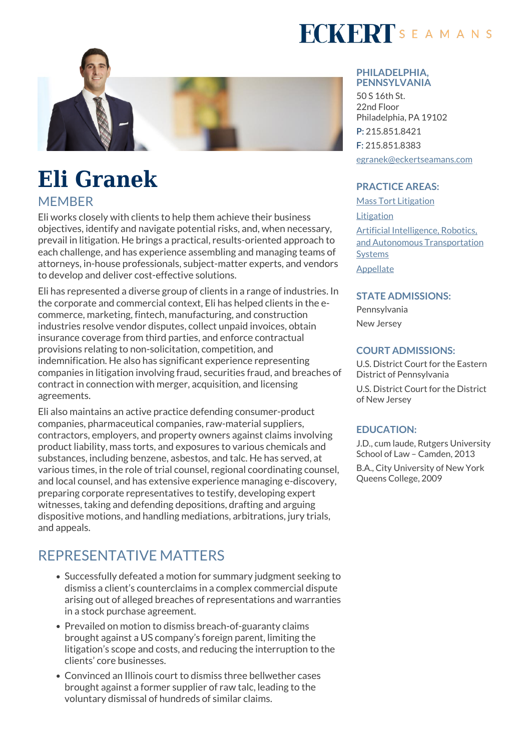

# **Eli Granek**

### **MEMBER**

Eli works closely with clients to help them achieve their business objectives, identify and navigate potential risks, and, when necessary, prevail in litigation. He brings a practical, results-oriented approach to each challenge, and has experience assembling and managing teams of attorneys, in-house professionals, subject-matter experts, and vendors to develop and deliver cost-effective solutions.

Eli has represented a diverse group of clients in a range of industries. In the corporate and commercial context, Eli has helped clients in the ecommerce, marketing, fintech, manufacturing, and construction industries resolve vendor disputes, collect unpaid invoices, obtain insurance coverage from third parties, and enforce contractual provisions relating to non-solicitation, competition, and indemnification. He also has significant experience representing companies in litigation involving fraud, securities fraud, and breaches of contract in connection with merger, acquisition, and licensing agreements.

Eli also maintains an active practice defending consumer-product companies, pharmaceutical companies, raw-material suppliers, contractors, employers, and property owners against claims involving product liability, mass torts, and exposures to various chemicals and substances, including benzene, asbestos, and talc. He has served, at various times, in the role of trial counsel, regional coordinating counsel, and local counsel, and has extensive experience managing e-discovery, preparing corporate representatives to testify, developing expert witnesses, taking and defending depositions, drafting and arguing dispositive motions, and handling mediations, arbitrations, jury trials, and appeals.

## REPRESENTATIVE MATTERS

- Successfully defeated a motion for summary judgment seeking to dismiss a client's counterclaims in a complex commercial dispute arising out of alleged breaches of representations and warranties in a stock purchase agreement.
- Prevailed on motion to dismiss breach-of-guaranty claims brought against a US company's foreign parent, limiting the litigation's scope and costs, and reducing the interruption to the clients' core businesses.
- Convinced an Illinois court to dismiss three bellwether cases brought against a former supplier of raw talc, leading to the voluntary dismissal of hundreds of similar claims.

# **FCKERT**SEAMANS

#### **PHILADELPHIA, PENNSYLVANIA**

50 S 16th St. 22nd Floor Philadelphia, PA 19102 P: 215.851.8421 F: 215.851.8383 [egranek@eckertseamans.com](mailto:egranek@eckertseamans.com)

#### **PRACTICE AREAS:**

[Mass Tort Litigation](https://www.eckertseamans.com/our-practices/mass-tort-litigation) **[Litigation](https://www.eckertseamans.com/our-practices/litigation)** [Artificial Intelligence, Robotics,](https://www.eckertseamans.com/our-practices/artificial-intelligence-robotics-and-autonomous-transportation-systems) [and Autonomous Transportation](https://www.eckertseamans.com/our-practices/artificial-intelligence-robotics-and-autonomous-transportation-systems) [Systems](https://www.eckertseamans.com/our-practices/artificial-intelligence-robotics-and-autonomous-transportation-systems) [Appellate](https://www.eckertseamans.com/our-practices/appellate)

#### **STATE ADMISSIONS:**

Pennsylvania New Jersey

#### **COURT ADMISSIONS:**

U.S. District Court for the Eastern District of Pennsylvania

U.S. District Court for the District of New Jersey

#### **EDUCATION:**

J.D., cum laude, Rutgers University School of Law – Camden, 2013

B.A., City University of New York Queens College, 2009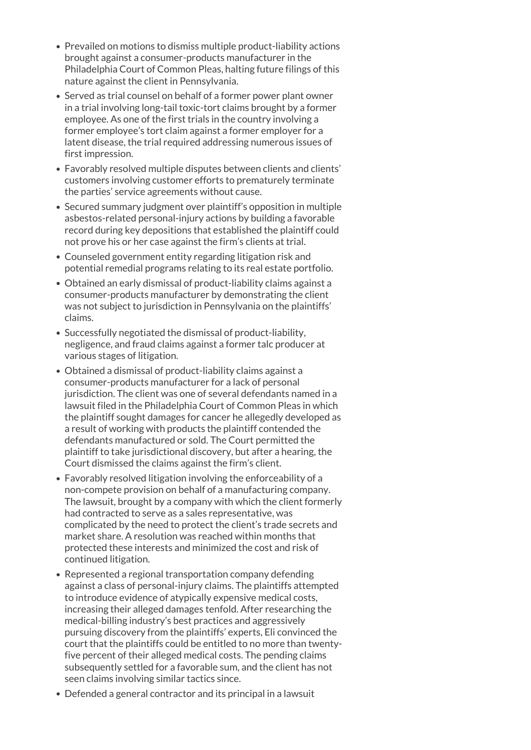- Prevailed on motions to dismiss multiple product-liability actions brought against a consumer-products manufacturer in the Philadelphia Court of Common Pleas, halting future filings of this nature against the client in Pennsylvania.
- Served as trial counsel on behalf of a former power plant owner in a trial involving long-tail toxic-tort claims brought by a former employee. As one of the first trials in the country involving a former employee's tort claim against a former employer for a latent disease, the trial required addressing numerous issues of first impression.
- Favorably resolved multiple disputes between clients and clients' customers involving customer efforts to prematurely terminate the parties' service agreements without cause.
- Secured summary judgment over plaintiff's opposition in multiple asbestos-related personal-injury actions by building a favorable record during key depositions that established the plaintiff could not prove his or her case against the firm's clients at trial.
- Counseled government entity regarding litigation risk and potential remedial programs relating to its real estate portfolio.
- Obtained an early dismissal of product-liability claims against a consumer-products manufacturer by demonstrating the client was not subject to jurisdiction in Pennsylvania on the plaintiffs' claims.
- Successfully negotiated the dismissal of product-liability, negligence, and fraud claims against a former talc producer at various stages of litigation.
- Obtained a dismissal of product-liability claims against a consumer-products manufacturer for a lack of personal jurisdiction. The client was one of several defendants named in a lawsuit filed in the Philadelphia Court of Common Pleas in which the plaintiff sought damages for cancer he allegedly developed as a result of working with products the plaintiff contended the defendants manufactured or sold. The Court permitted the plaintiff to take jurisdictional discovery, but after a hearing, the Court dismissed the claims against the firm's client.
- Favorably resolved litigation involving the enforceability of a non-compete provision on behalf of a manufacturing company. The lawsuit, brought by a company with which the client formerly had contracted to serve as a sales representative, was complicated by the need to protect the client's trade secrets and market share. A resolution was reached within months that protected these interests and minimized the cost and risk of continued litigation.
- Represented a regional transportation company defending against a class of personal-injury claims. The plaintiffs attempted to introduce evidence of atypically expensive medical costs, increasing their alleged damages tenfold. After researching the medical-billing industry's best practices and aggressively pursuing discovery from the plaintiffs' experts, Eli convinced the court that the plaintiffs could be entitled to no more than twentyfive percent of their alleged medical costs. The pending claims subsequently settled for a favorable sum, and the client has not seen claims involving similar tactics since.
- Defended a general contractor and its principal in a lawsuit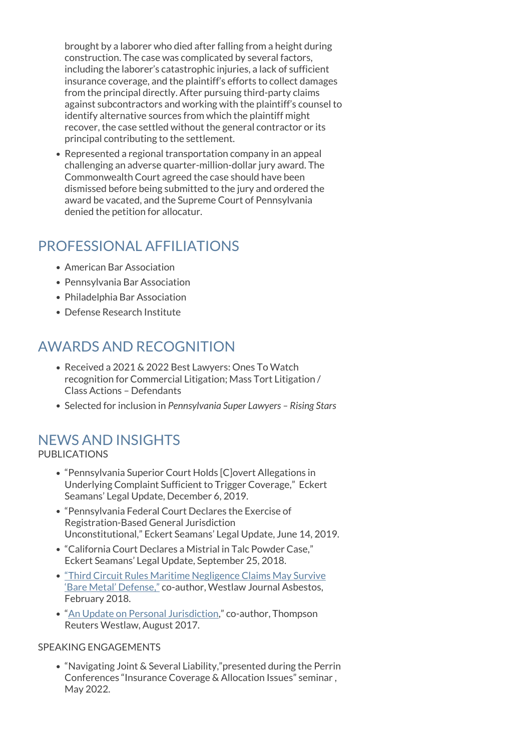brought by a laborer who died after falling from a height during construction. The case was complicated by several factors, including the laborer's catastrophic injuries, a lack of sufficient insurance coverage, and the plaintiff's efforts to collect damages from the principal directly. After pursuing third-party claims against subcontractors and working with the plaintiff's counsel to identify alternative sources from which the plaintiff might recover, the case settled without the general contractor or its principal contributing to the settlement.

Represented a regional transportation company in an appeal challenging an adverse quarter-million-dollar jury award. The Commonwealth Court agreed the case should have been dismissed before being submitted to the jury and ordered the award be vacated, and the Supreme Court of Pennsylvania denied the petition for allocatur.

## PROFESSIONAL AFFILIATIONS

- American Bar Association
- Pennsylvania Bar Association
- Philadelphia Bar Association
- Defense Research Institute

## AWARDS AND RECOGNITION

- Received a 2021 & 2022 Best Lawyers: Ones To Watch recognition for Commercial Litigation; Mass Tort Litigation / Class Actions – Defendants
- Selected for inclusion in *Pennsylvania Super Lawyers Rising Stars*

### NEWS AND INSIGHTS

#### PUBLICATIONS

- "Pennsylvania Superior Court Holds [C]overt Allegations in Underlying Complaint Sufficient to Trigger Coverage," Eckert Seamans' Legal Update, December 6, 2019.
- "Pennsylvania Federal Court Declares the Exercise of Registration-Based General Jurisdiction Unconstitutional," Eckert Seamans' Legal Update, June 14, 2019.
- "California Court Declares a Mistrial in Talc Powder Case," Eckert Seamans' Legal Update, September 25, 2018.
- ["Third Circuit Rules Maritime Negligence Claims May Survive](https://www.eckertseamans.com/app/uploads/KatzensteinWakslerGranek-article.pdf) ['Bare Metal' Defense,"](https://www.eckertseamans.com/app/uploads/KatzensteinWakslerGranek-article.pdf) co-author, Westlaw Journal Asbestos, February 2018.
- "[An Update on Personal Jurisdiction](https://www.eckertseamans.com/app/uploads/KatzensteinGranekThompsonReuters082317.pdf)," co-author, Thompson Reuters Westlaw, August 2017.

#### SPEAKING ENGAGEMENTS

"Navigating Joint & Several Liability,"presented during the Perrin Conferences "Insurance Coverage & Allocation Issues" seminar , May 2022.